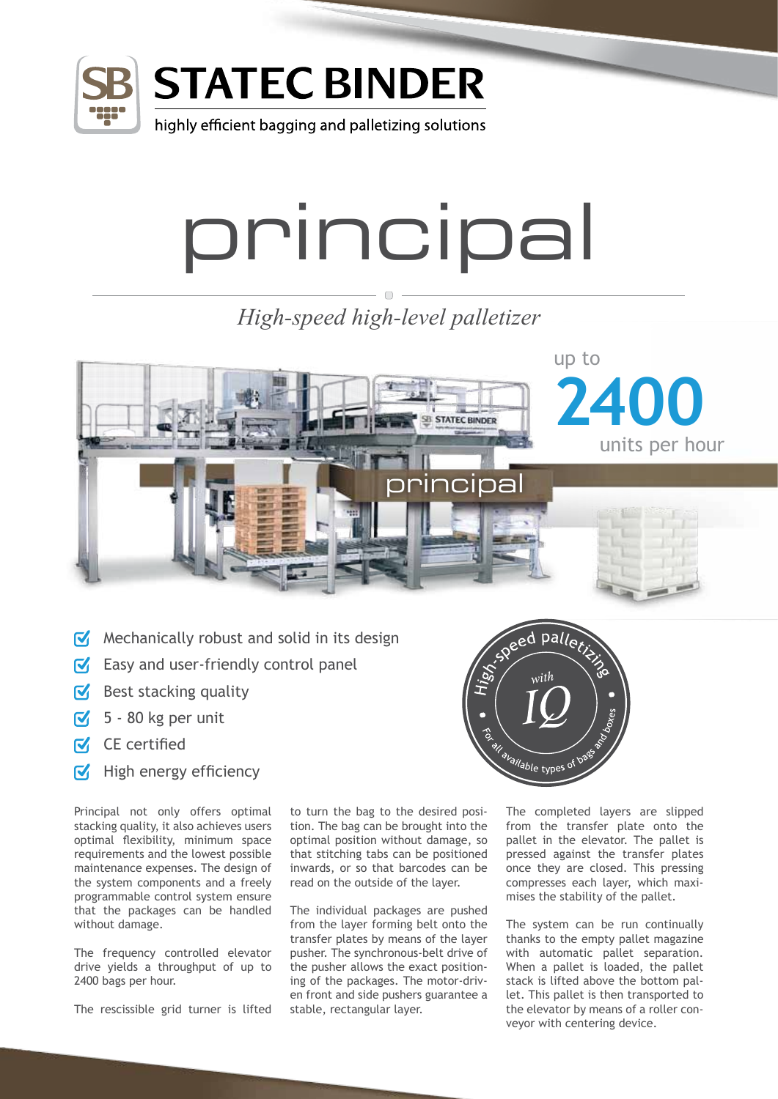

## **STATEC BINDER**

highly efficient bagging and palletizing solutions

## principal

*High-speed high-level palletizer*



- $\sqrt{\ }$  Mechanically robust and solid in its design
- $\sqrt{\phantom{a}}$  Easy and user-friendly control panel
- $\triangleright$  Best stacking quality
- $\sqrt{5}$  80 kg per unit
- $\overline{M}$  CE certified
- $\blacksquare$  High energy efficiency

Principal not only offers optimal stacking quality, it also achieves users optimal flexibility, minimum space requirements and the lowest possible maintenance expenses. The design of the system components and a freely programmable control system ensure that the packages can be handled without damage.

The frequency controlled elevator drive yields a throughput of up to 2400 bags per hour.

The rescissible grid turner is lifted

to turn the bag to the desired position. The bag can be brought into the optimal position without damage, so that stitching tabs can be positioned inwards, or so that barcodes can be read on the outside of the layer.

The individual packages are pushed from the layer forming belt onto the transfer plates by means of the layer pusher. The synchronous-belt drive of the pusher allows the exact positioning of the packages. The motor-driven front and side pushers guarantee a stable, rectangular layer.



The completed layers are slipped from the transfer plate onto the pallet in the elevator. The pallet is pressed against the transfer plates once they are closed. This pressing compresses each layer, which maximises the stability of the pallet.

The system can be run continually thanks to the empty pallet magazine with automatic pallet separation. When a pallet is loaded, the pallet stack is lifted above the bottom pallet. This pallet is then transported to the elevator by means of a roller conveyor with centering device.